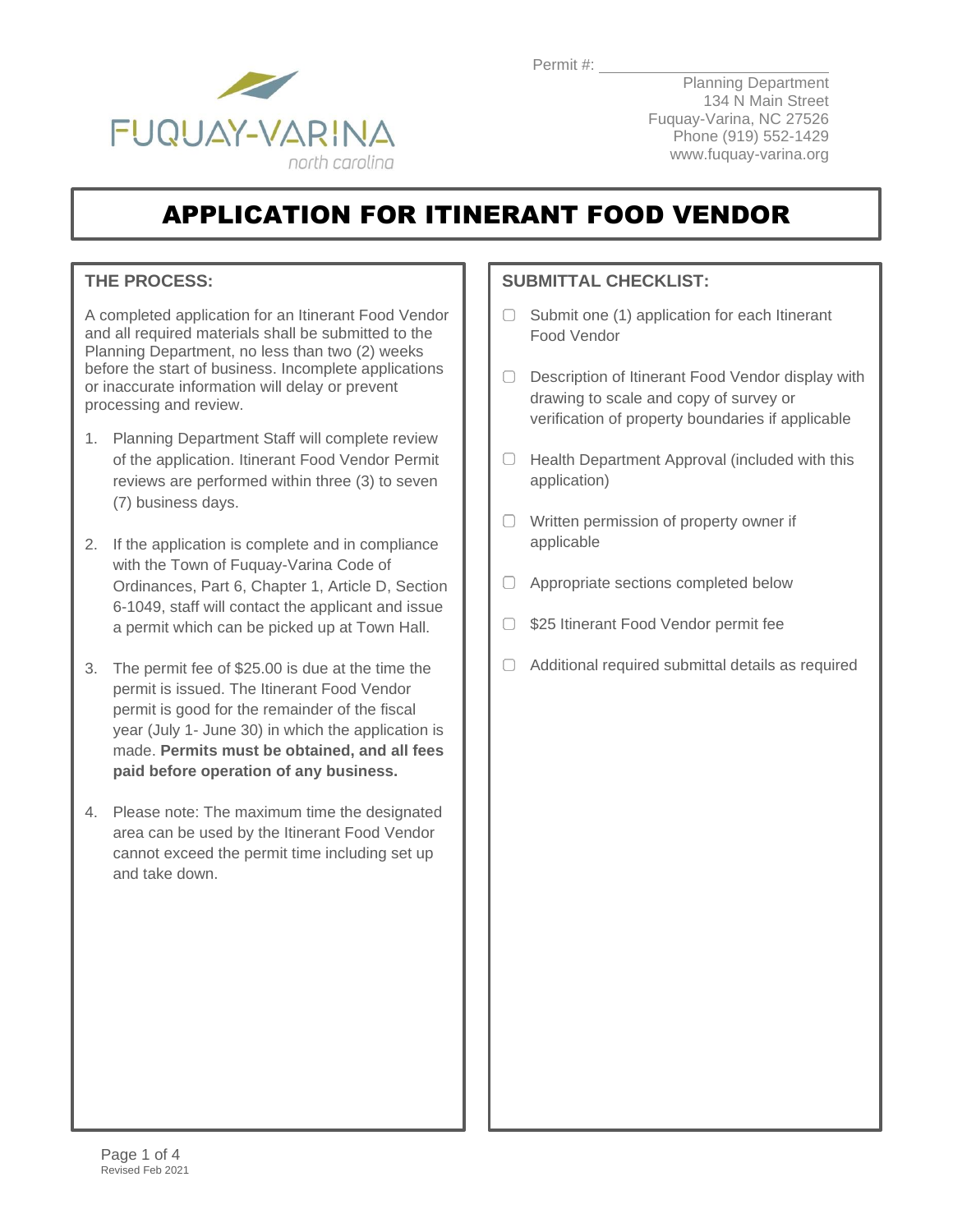Permit #: \_\_\_\_\_



Planning Department 134 N Main Street Fuquay-Varina, NC 27526 Phone (919) 552-1429 www.fuquay-varina.org

# APPLICATION FOR ITINERANT FOOD VENDOR

#### **THE PROCESS:**

A completed application for an Itinerant Food Vendor and all required materials shall be submitted to the Planning Department, no less than two (2) weeks before the start of business. Incomplete applications or inaccurate information will delay or prevent processing and review.

- 1. Planning Department Staff will complete review of the application. Itinerant Food Vendor Permit reviews are performed within three (3) to seven (7) business days.
- 2. If the application is complete and in compliance with the Town of Fuquay-Varina Code of Ordinances, Part 6, Chapter 1, Article D, Section 6-1049, staff will contact the applicant and issue a permit which can be picked up at Town Hall.
- 3. The permit fee of \$25.00 is due at the time the permit is issued. The Itinerant Food Vendor permit is good for the remainder of the fiscal year (July 1- June 30) in which the application is made. **Permits must be obtained, and all fees paid before operation of any business.**
- 4. Please note: The maximum time the designated area can be used by the Itinerant Food Vendor cannot exceed the permit time including set up and take down.

#### **SUBMITTAL CHECKLIST:**

- $\Box$  Submit one (1) application for each Itinerant Food Vendor
- O Description of Itinerant Food Vendor display with drawing to scale and copy of survey or verification of property boundaries if applicable
- $\Box$  Health Department Approval (included with this application)
- Written permission of property owner if applicable
- □ Appropriate sections completed below
- **525 Itinerant Food Vendor permit fee**
- $\Box$  Additional required submittal details as required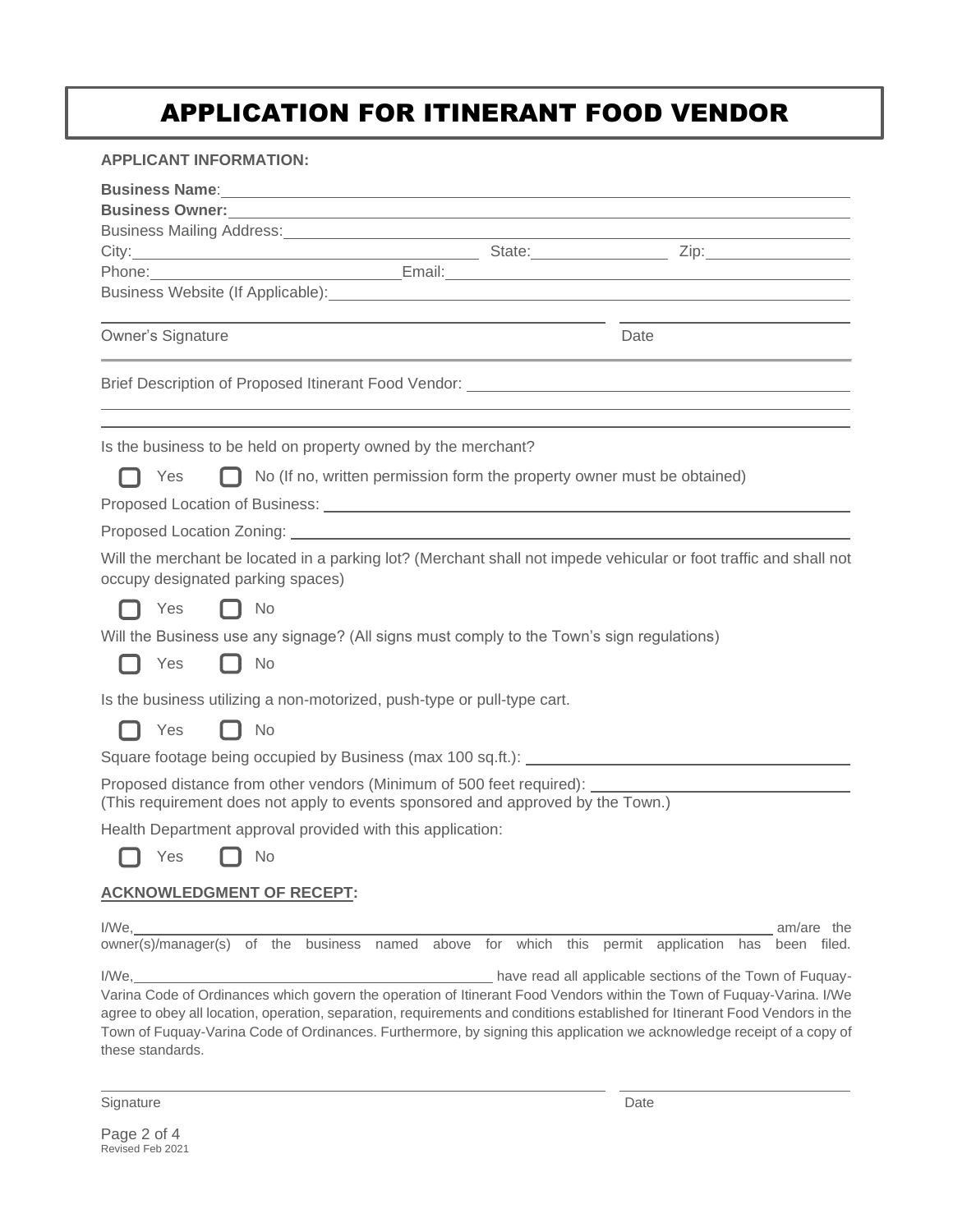## APPLICATION FOR ITINERANT FOOD VENDOR

| <b>APPLICANT INFORMATION:</b>                                                                                                                                                                                                            |                                                                                  |
|------------------------------------------------------------------------------------------------------------------------------------------------------------------------------------------------------------------------------------------|----------------------------------------------------------------------------------|
|                                                                                                                                                                                                                                          |                                                                                  |
| <b>Business Owner:</b> <u>Contract Communications</u> and the contract of the contract of the contract of the contract of the contract of the contract of the contract of the contract of the contract of the contract of the contract o |                                                                                  |
| Business Mailing Address: Management of the Community of the Community of the Community of the Community of the Community of the Community of the Community of the Community of the Community of the Community of the Communit           |                                                                                  |
| Phone:                                                                                                                                                                                                                                   |                                                                                  |
| Business Website (If Applicable): Manual Communication of the United States of the United States and District                                                                                                                            |                                                                                  |
|                                                                                                                                                                                                                                          | Date                                                                             |
| Owner's Signature                                                                                                                                                                                                                        |                                                                                  |
|                                                                                                                                                                                                                                          | ,我们也不会有什么。""我们的人,我们也不会有什么?""我们的人,我们也不会有什么?""我们的人,我们也不会有什么?""我们的人,我们也不会有什么?""我们的人 |
| Is the business to be held on property owned by the merchant?                                                                                                                                                                            |                                                                                  |
| No (If no, written permission form the property owner must be obtained)<br>Yes<br>L. L                                                                                                                                                   |                                                                                  |
|                                                                                                                                                                                                                                          |                                                                                  |
|                                                                                                                                                                                                                                          |                                                                                  |
| Will the merchant be located in a parking lot? (Merchant shall not impede vehicular or foot traffic and shall not<br>occupy designated parking spaces)                                                                                   |                                                                                  |
| Yes<br>No<br>. .                                                                                                                                                                                                                         |                                                                                  |
| Will the Business use any signage? (All signs must comply to the Town's sign regulations)                                                                                                                                                |                                                                                  |
| Yes<br>No<br>II.                                                                                                                                                                                                                         |                                                                                  |
| Is the business utilizing a non-motorized, push-type or pull-type cart.                                                                                                                                                                  |                                                                                  |
| Yes<br>No                                                                                                                                                                                                                                |                                                                                  |
|                                                                                                                                                                                                                                          |                                                                                  |
| Proposed distance from other vendors (Minimum of 500 feet required): ______________________________<br>(This requirement does not apply to events sponsored and approved by the Town.)                                                   |                                                                                  |
| Health Department approval provided with this application:                                                                                                                                                                               |                                                                                  |
| No<br>Yes                                                                                                                                                                                                                                |                                                                                  |
| <b>ACKNOWLEDGMENT OF RECEPT:</b>                                                                                                                                                                                                         |                                                                                  |
| I/We.<br>owner(s)/manager(s) of the business named above for which this permit application has been filed.                                                                                                                               | am/are the                                                                       |
| I/We, Messian Communication of the Town of Fuquay-                                                                                                                                                                                       |                                                                                  |
| the contract of the contract of the contract of                                                                                                                                                                                          |                                                                                  |

Varina Code of Ordinances which govern the operation of Itinerant Food Vendors within the Town of Fuquay-Varina. I/We agree to obey all location, operation, separation, requirements and conditions established for Itinerant Food Vendors in the Town of Fuquay-Varina Code of Ordinances. Furthermore, by signing this application we acknowledge receipt of a copy of these standards.

Signature Date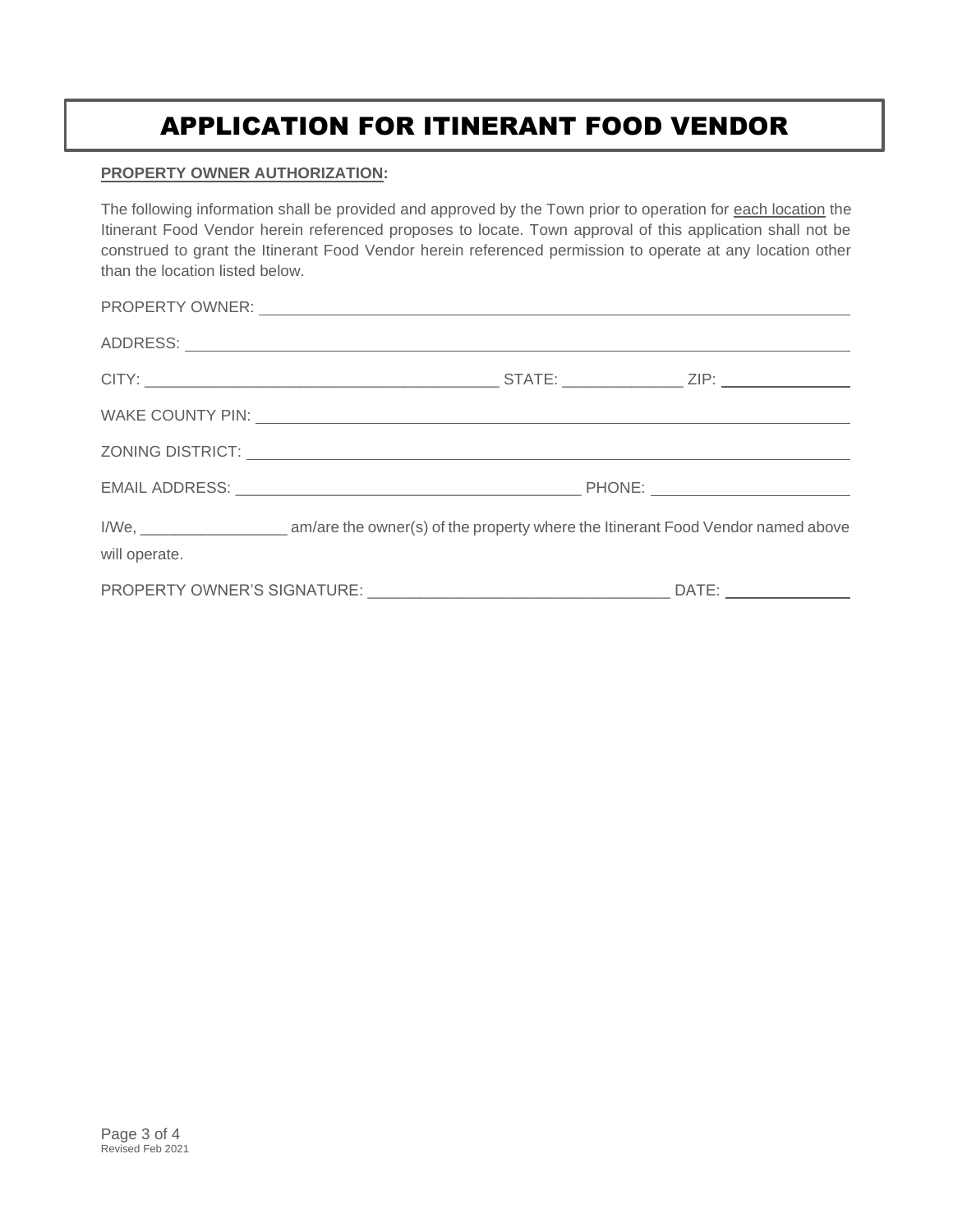## APPLICATION FOR ITINERANT FOOD VENDOR

#### **PROPERTY OWNER AUTHORIZATION:**

The following information shall be provided and approved by the Town prior to operation for each location the Itinerant Food Vendor herein referenced proposes to locate. Town approval of this application shall not be construed to grant the Itinerant Food Vendor herein referenced permission to operate at any location other than the location listed below.

|               |  |  | PROPERTY OWNER: University of the contract of the contract of the contract of the contract of the contract of the contract of the contract of the contract of the contract of the contract of the contract of the contract of  |
|---------------|--|--|--------------------------------------------------------------------------------------------------------------------------------------------------------------------------------------------------------------------------------|
|               |  |  |                                                                                                                                                                                                                                |
|               |  |  |                                                                                                                                                                                                                                |
|               |  |  | WAKE COUNTY PIN: VALUE AND THE COUNTY PINE AND THE COUNTY PINE AND THE COUNTY PINE AND THE COUNTY PINE AND THE COUNTY OF THE COUNTY OF THE COUNTY OF THE COUNTY OF THE COUNTY OF THE COUNTY OF THE COUNTY OF THE COUNTY OF THE |
|               |  |  |                                                                                                                                                                                                                                |
|               |  |  |                                                                                                                                                                                                                                |
| will operate. |  |  |                                                                                                                                                                                                                                |
|               |  |  |                                                                                                                                                                                                                                |